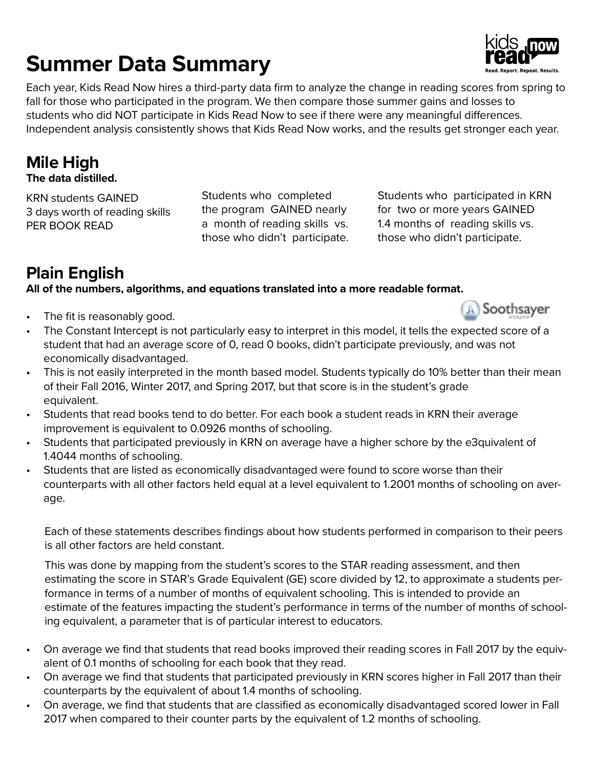# **Summer Data Summary**

Each year, Kids Read Now hires a third-party data firm to analyze the change in reading scores from spring to fall for those who participated in the program. We then compare those summer gains and losses to students who did NOT participate in Kids Read Now to see if there were any meaningful differences. Independent analysis consistently shows that Kids Read Now works, and the results get stronger each year.

## **Mile High**

**The data distilled.**

KRN students GAINED 3 days worth of reading skills PER BOOK READ

Students who completed the program GAINED nearly a month of reading skills vs. those who didn't participate. Students who participated in KRN for two or more years GAINED 1.4 months of reading skills vs. those who didn't participate.

## **Plain English**

## **All of the numbers, algorithms, and equations translated into a more readable format.**

- The fit is reasonably good.
- The Constant Intercept is not particularly easy to interpret in this model, it tells the expected score of a student that had an average score of 0, read 0 books, didn't participate previously, and was not economically disadvantaged.
- This is not easily interpreted in the month based model. Students typically do 10% better than their mean of their Fall 2016, Winter 2017, and Spring 2017, but that score is in the student's grade equivalent.
- Students that read books tend to do better. For each book a student reads in KRN their average improvement is equivalent to 0.0926 months of schooling.
- Students that participated previously in KRN on average have a higher schore by the e3quivalent of 1.4044 months of schooling.
- Students that are listed as economically disadvantaged were found to score worse than their counterparts with all other factors held equal at a level equivalent to 1.2001 months of schooling on average.

Each of these statements describes findings about how students performed in comparison to their peers is all other factors are held constant.

This was done by mapping from the student's scores to the STAR reading assessment, and then estimating the score in STAR's Grade Equivalent (GE) score divided by 12, to approximate a students performance in terms of a number of months of equivalent schooling. This is intended to provide an estimate of the features impacting the student's performance in terms of the number of months of schooling equivalent, a parameter that is of particular interest to educators.

- On average we find that students that read books improved their reading scores in Fall 2017 by the equivalent of 0.1 months of schooling for each book that they read.
- On average we find that students that participated previously in KRN scores higher in Fall 2017 than their counterparts by the equivalent of about 1.4 months of schooling.
- On average, we find that students that are classified as economically disadvantaged scored lower in Fall 2017 when compared to their counter parts by the equivalent of 1.2 months of schooling.